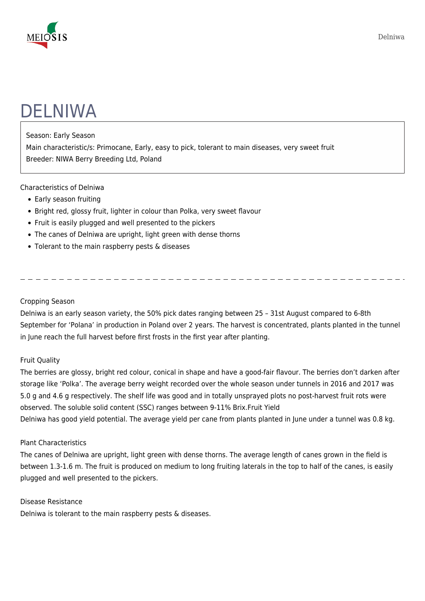

# DELNIWA

### Season: Early Season

Main characteristic/s: Primocane, Early, easy to pick, tolerant to main diseases, very sweet fruit Breeder: NIWA Berry Breeding Ltd, Poland

## Characteristics of Delniwa

- Early season fruiting
- Bright red, glossy fruit, lighter in colour than Polka, very sweet flavour
- Fruit is easily plugged and well presented to the pickers
- The canes of Delniwa are upright, light green with dense thorns
- Tolerant to the main raspberry pests & diseases

### Cropping Season

Delniwa is an early season variety, the 50% pick dates ranging between 25 – 31st August compared to 6-8th September for 'Polana' in production in Poland over 2 years. The harvest is concentrated, plants planted in the tunnel in June reach the full harvest before first frosts in the first year after planting.

# Fruit Quality

The berries are glossy, bright red colour, conical in shape and have a good-fair flavour. The berries don't darken after storage like 'Polka'. The average berry weight recorded over the whole season under tunnels in 2016 and 2017 was 5.0 g and 4.6 g respectively. The shelf life was good and in totally unsprayed plots no post-harvest fruit rots were observed. The soluble solid content (SSC) ranges between 9-11% Brix.Fruit Yield Delniwa has good yield potential. The average yield per cane from plants planted in June under a tunnel was 0.8 kg.

#### Plant Characteristics

The canes of Delniwa are upright, light green with dense thorns. The average length of canes grown in the field is between 1.3-1.6 m. The fruit is produced on medium to long fruiting laterals in the top to half of the canes, is easily plugged and well presented to the pickers.

#### Disease Resistance

Delniwa is tolerant to the main raspberry pests & diseases.